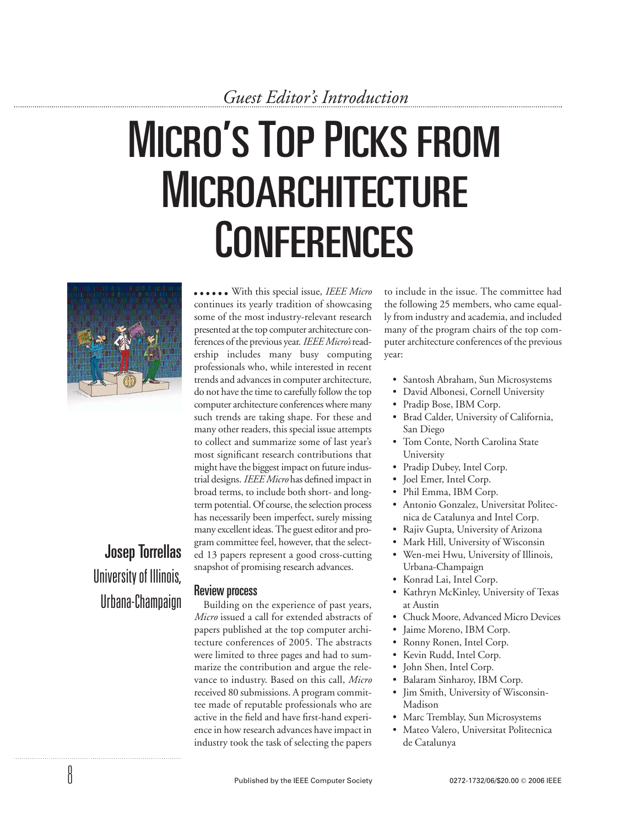# **MICRO'S TOP PICKS FROM** MICROARCHITECTURE **CONFERENCES**



Josep Torrellas University of Illinois, Urbana-Champaign

8

With this special issue, *IEEE Micro* continues its yearly tradition of showcasing some of the most industry-relevant research presented at the top computer architecture conferences of the previous year. *IEEE Micro's*readership includes many busy computing professionals who, while interested in recent trends and advances in computer architecture, do not have the time to carefully follow the top computer architecture conferences where many such trends are taking shape. For these and many other readers, this special issue attempts to collect and summarize some of last year's most significant research contributions that might have the biggest impact on future industrial designs. *IEEE Micro* has defined impact in broad terms, to include both short- and longterm potential. Of course, the selection process has necessarily been imperfect, surely missing many excellent ideas. The guest editor and program committee feel, however, that the selected 13 papers represent a good cross-cutting snapshot of promising research advances.

## Review process

Building on the experience of past years, *Micro* issued a call for extended abstracts of papers published at the top computer architecture conferences of 2005. The abstracts were limited to three pages and had to summarize the contribution and argue the relevance to industry. Based on this call, *Micro* received 80 submissions. A program committee made of reputable professionals who are active in the field and have first-hand experience in how research advances have impact in industry took the task of selecting the papers

to include in the issue. The committee had the following 25 members, who came equally from industry and academia, and included many of the program chairs of the top computer architecture conferences of the previous year:

- Santosh Abraham, Sun Microsystems
- David Albonesi, Cornell University
- Pradip Bose, IBM Corp.
- Brad Calder, University of California, San Diego
- Tom Conte, North Carolina State University
- Pradip Dubey, Intel Corp.
- Joel Emer, Intel Corp.
- Phil Emma, IBM Corp.
- Antonio Gonzalez, Universitat Politecnica de Catalunya and Intel Corp.
- Rajiv Gupta, University of Arizona
- Mark Hill, University of Wisconsin
- Wen-mei Hwu, University of Illinois, Urbana-Champaign
- Konrad Lai, Intel Corp.
- Kathryn McKinley, University of Texas at Austin
- Chuck Moore, Advanced Micro Devices
- Jaime Moreno, IBM Corp.
- Ronny Ronen, Intel Corp.
- Kevin Rudd, Intel Corp.
- John Shen, Intel Corp.
- Balaram Sinharoy, IBM Corp.
- Jim Smith, University of Wisconsin-Madison
- Marc Tremblay, Sun Microsystems
- Mateo Valero, Universitat Politecnica de Catalunya